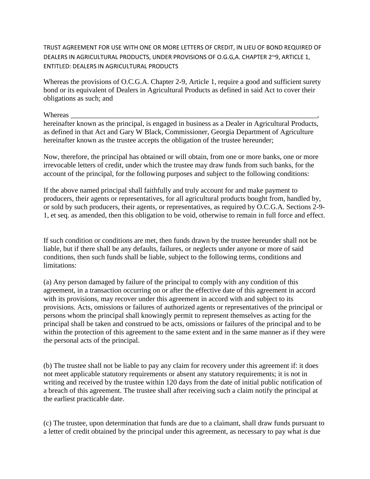TRUST AGREEMENT FOR USE WITH ONE OR MORE LETTERS OF CREDIT, IN LIEU OF BOND REQUIRED OF DEALERS IN AGRICULTURAL PRODUCTS, UNDER PROVISIONS OF O.G.G,A. CHAPTER 2~9, ARTICLE 1, ENTITLED: DEALERS IN AGRICULTURAL PRODUCTS

Whereas the provisions of O.C.G.A. Chapter 2-9, Article 1, require a good and sufficient surety bond or its equivalent of Dealers in Agricultural Products as defined in said Act to cover their obligations as such; and

Whereas

hereinafter known as the principal, is engaged in business as a Dealer in Agricultural Products, as defined in that Act and Gary W Black, Commissioner, Georgia Department of Agriculture hereinafter known as the trustee accepts the obligation of the trustee hereunder;

Now, therefore, the principal has obtained or will obtain, from one or more banks, one or more irrevocable letters of credit, under which the trustee may draw funds from such banks, for the account of the principal, for the following purposes and subject to the following conditions:

If the above named principal shall faithfully and truly account for and make payment to producers, their agents or representatives, for all agricultural products bought from, handled by, or sold by such producers, their agents, or representatives, as required by O.C.G.A*.* Sections 2-9- 1, et seq. as amended, then this obligation to be void, otherwise to remain in full force and effect.

If such condition or conditions are met, then funds drawn by the trustee hereunder shall not be liable, but if there shall be any defaults, failures, or neglects under anyone or more of said conditions, then such funds shall be liable, subject to the following terms, conditions and limitations:

(a) Any person damaged by failure of the principal to comply with any condition of this agreement, in a transaction occurring on or after the effective date of this agreement in accord with its provisions, may recover under this agreement in accord with and subject to its provisions. Acts, omissions or failures of authorized agents or representatives of the principal or persons whom the principal shall knowingly permit to represent themselves as acting for the principal shall be taken and construed to be acts, omissions or failures of the principal and to be within the protection of this agreement to the same extent and in the same manner as if they were the personal acts of the principal.

(b) The trustee shall not be liable to pay any claim for recovery under this agreement if: it does not meet applicable statutory requirements or absent any statutory requirements; it is not in writing and received by the trustee within 120 days from the date of initial public notification of a breach of this agreement. The trustee shall after receiving such a claim notify the principal at the earliest practicable date.

(c) The trustee, upon determination that funds are due to a claimant, shall draw funds pursuant to a letter of credit obtained by the principal under this agreement, as necessary to pay what *is* due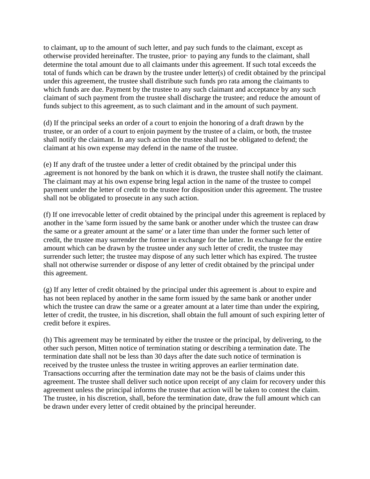to claimant, up to the amount of such letter, and pay such funds to the claimant, except as otherwise provided hereinafter. The trustee, prior· to paying any funds to the claimant, shall determine the total amount due to all claimants under this agreement. If such total exceeds the total of funds which can be drawn by the trustee under letter(s) of credit obtained by the principal under this agreement, the trustee shall distribute such funds pro rata among the claimants to which funds are due. Payment by the trustee to any such claimant and acceptance by any such claimant of such payment from the trustee shall discharge the trustee; and reduce the amount of funds subject to this agreement, as to such claimant and in the amount of such payment.

(d) If the principal seeks an order of a court to enjoin the honoring of a draft drawn by the trustee, or an order of a court to enjoin payment by the trustee of a claim, or both, the trustee shall notify the claimant. In any such action the trustee shall not be obligated to defend; the claimant at his own expense may defend in the name of the trustee.

(e) If any draft of the trustee under a letter of credit obtained by the principal under this .agreement is not honored by the bank on which it is drawn, the trustee shall notify the claimant. The claimant may at his own expense bring legal action in the name of the trustee to compel payment under the letter of credit to the trustee for disposition under this agreement. The trustee shall not be obligated to prosecute in any such action.

(f) If one irrevocable letter of credit obtained by the principal under this agreement is replaced by another in the 'same form issued by the same bank or another under which the trustee can draw the same or a greater amount at the same' or a later time than under the former such letter of credit, the trustee may surrender the former in exchange for the latter. In exchange for the entire amount which can be drawn by the trustee under any such letter of credit, the trustee may surrender such letter; the trustee may dispose of any such letter which has expired. The trustee shall not otherwise surrender or dispose of any letter of credit obtained by the principal under this agreement.

(g) If any letter of credit obtained by the principal under this agreement is .about to expire and has not been replaced by another in the same form issued by the same bank or another under which the trustee can draw the same or a greater amount at a later time than under the expiring, letter of credit, the trustee, in his discretion, shall obtain the full amount of such expiring letter of credit before it expires.

(h) This agreement may be terminated by either the trustee or the principal, by delivering, to the other such person, Mitten notice of termination stating or describing a termination date. The termination date shall not be less than 30 days after the date such notice of termination is received by the trustee unless the trustee in writing approves an earlier termination date. Transactions occurring after the termination date may not be the basis of claims under this agreement. The trustee shall deliver such notice upon receipt of any claim for recovery under this agreement unless the principal informs the trustee that action will be taken to contest the claim. The trustee, in his discretion, shall, before the termination date, draw the full amount which can be drawn under every letter of credit obtained by the principal hereunder.